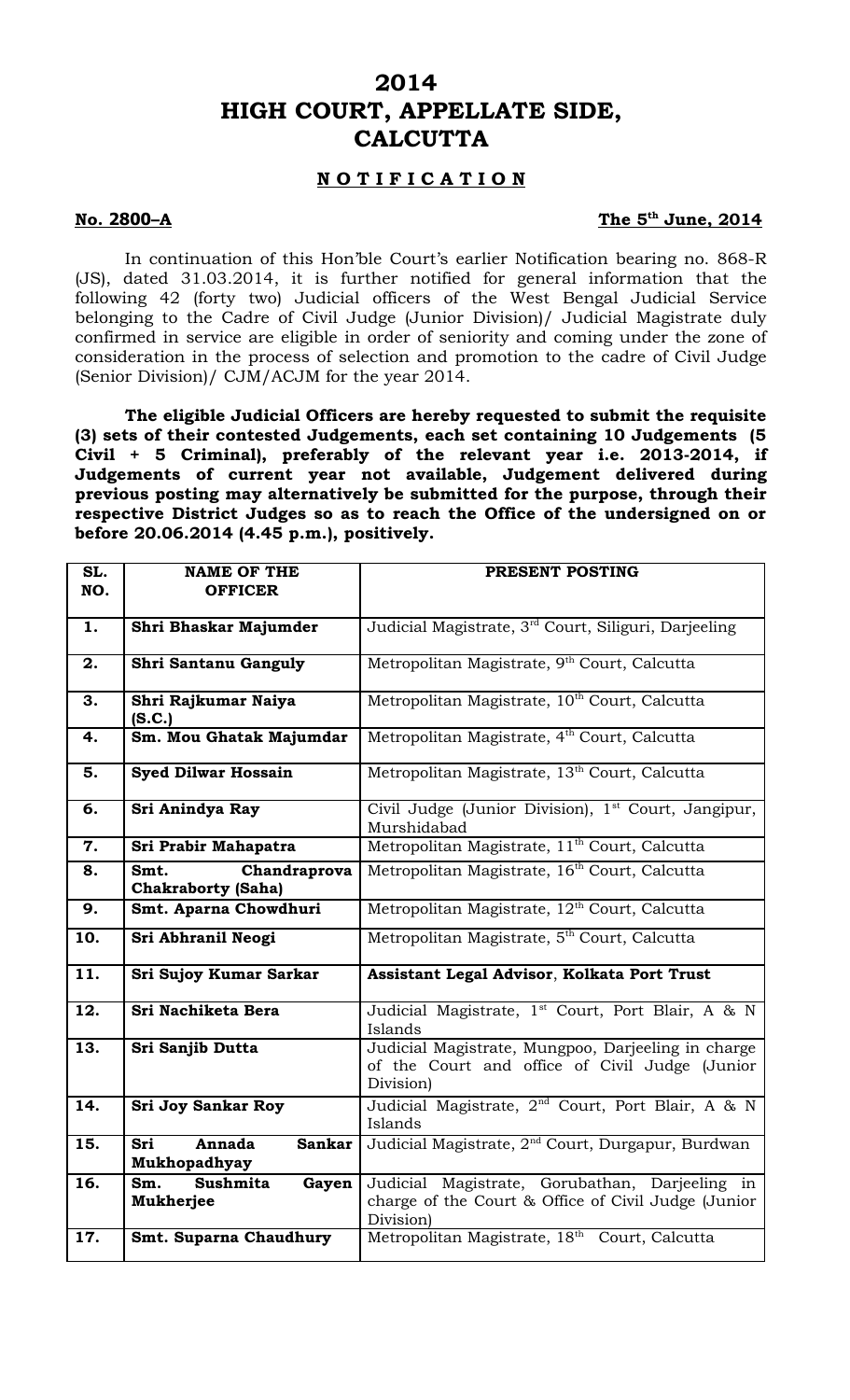## **2014 HIGH COURT, APPELLATE SIDE, CALCUTTA**

## **N O T I F I C A T I O N**

## **No. 2800-A**

## The 5<sup>th</sup> June, 2014

In continuation of this Hon'ble Court's earlier Notification bearing no. 868-R (JS), dated 31.03.2014, it is further notified for general information that the following 42 (forty two) Judicial officers of the West Bengal Judicial Service belonging to the Cadre of Civil Judge (Junior Division)/ Judicial Magistrate duly confirmed in service are eligible in order of seniority and coming under the zone of consideration in the process of selection and promotion to the cadre of Civil Judge (Senior Division)/ CJM/ACJM for the year 2014.

**The eligible Judicial Officers are hereby requested to submit the requisite (3) sets of their contested Judgements, each set containing 10 Judgements (5 Civil + 5 Criminal), preferably of the relevant year i.e. 2013-2014, if Judgements of current year not available, Judgement delivered during previous posting may alternatively be submitted for the purpose, through their respective District Judges so as to reach the Office of the undersigned on or before 20.06.2014 (4.45 p.m.), positively.** 

| SL.<br>NO. | <b>NAME OF THE</b><br><b>OFFICER</b>                | PRESENT POSTING                                                                                                    |
|------------|-----------------------------------------------------|--------------------------------------------------------------------------------------------------------------------|
|            |                                                     |                                                                                                                    |
| 1.         | Shri Bhaskar Majumder                               | Judicial Magistrate, 3 <sup>rd</sup> Court, Siliguri, Darjeeling                                                   |
| 2.         | Shri Santanu Ganguly                                | Metropolitan Magistrate, 9 <sup>th</sup> Court, Calcutta                                                           |
| 3.         | Shri Rajkumar Naiya<br>(S.C.)                       | Metropolitan Magistrate, 10 <sup>th</sup> Court, Calcutta                                                          |
| 4.         | Sm. Mou Ghatak Majumdar                             | Metropolitan Magistrate, 4 <sup>th</sup> Court, Calcutta                                                           |
| 5.         | <b>Syed Dilwar Hossain</b>                          | Metropolitan Magistrate, 13 <sup>th</sup> Court, Calcutta                                                          |
| 6.         | Sri Anindya Ray                                     | Civil Judge (Junior Division), 1 <sup>st</sup> Court, Jangipur,<br>Murshidabad                                     |
| 7.         | Sri Prabir Mahapatra                                | Metropolitan Magistrate, 11 <sup>th</sup> Court, Calcutta                                                          |
| 8.         | Smt.<br>Chandraprova<br><b>Chakraborty (Saha)</b>   | Metropolitan Magistrate, 16 <sup>th</sup> Court, Calcutta                                                          |
| 9.         | Smt. Aparna Chowdhuri                               | Metropolitan Magistrate, 12 <sup>th</sup> Court, Calcutta                                                          |
| 10.        | Sri Abhranil Neogi                                  | Metropolitan Magistrate, 5 <sup>th</sup> Court, Calcutta                                                           |
| 11.        | Sri Sujoy Kumar Sarkar                              | Assistant Legal Advisor, Kolkata Port Trust                                                                        |
| 12.        | Sri Nachiketa Bera                                  | Judicial Magistrate, 1 <sup>st</sup> Court, Port Blair, A & N<br>Islands                                           |
| 13.        | Sri Sanjib Dutta                                    | Judicial Magistrate, Mungpoo, Darjeeling in charge<br>of the Court and office of Civil Judge (Junior<br>Division)  |
| 14.        | <b>Sri Joy Sankar Roy</b>                           | Judicial Magistrate, 2 <sup>nd</sup> Court, Port Blair, A & N<br>Islands                                           |
| 15.        | Sri<br>Annada<br><b>Sankar</b><br>Mukhopadhyay      | Judicial Magistrate, 2 <sup>nd</sup> Court, Durgapur, Burdwan                                                      |
| 16.        | <b>Sushmita</b><br>Sm.<br>Gayen<br><b>Mukherjee</b> | Judicial Magistrate, Gorubathan, Darjeeling in<br>charge of the Court & Office of Civil Judge (Junior<br>Division) |
| 17.        | Smt. Suparna Chaudhury                              | Metropolitan Magistrate, 18th Court, Calcutta                                                                      |